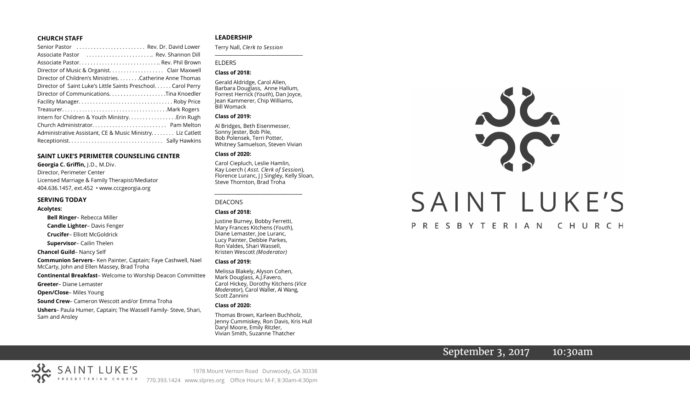#### **CHURCH STAFF**

| Senior Pastor  Rev. Dr. David Lower                           |
|---------------------------------------------------------------|
| Associate Pastor  Rev. Shannon Dill                           |
|                                                               |
| Director of Music & Organist. Clair Maxwell                   |
| Director of Children's Ministries. Catherine Anne Thomas      |
| Director of Saint Luke's Little Saints Preschool. Carol Perry |
|                                                               |
|                                                               |
|                                                               |
|                                                               |
|                                                               |
| Administrative Assistant, CE & Music Ministry. Liz Catlett    |
|                                                               |

#### **SAINT LUKE'S PERIMETER COUNSELING CENTER**

**Georgia C. Griffin,** J.D., M.Div. Director, Perimeter Center Licensed Marriage & Family Therapist/Mediator 404.636.1457, ext.452 • www.cccgeorgia.org

#### **SERVING TODAY**

#### **Acolytes:**

**Bell Ringer**– Rebecca Miller

**Candle Lighter**– Davis Fenger

**Crucifer**– Elliott McGoldrick

**Supervisor**– Cailin Thelen

**Chancel Guild**– Nancy Self

**Communion Servers**– Ken Painter, Captain; Faye Cashwell, Nael McCarty, John and Ellen Massey, Brad Troha

**Continental Breakfast**– Welcome to Worship Deacon Committee

**Greeter**– Diane Lemaster

**Open/Close**– Miles Young

**Sound Crew**– Cameron Wescott and/or Emma Troha

**Ushers**– Paula Humer, Captain; The Wassell Family- Steve, Shari, Sam and Ansley

#### **LEADERSHIP**

Terry Nall, *Clerk to Session*  **\_\_\_\_\_\_\_\_\_\_\_\_\_\_\_\_\_\_\_\_\_\_\_\_\_\_\_\_\_\_\_\_\_\_\_\_\_\_\_**

### ELDERS

#### **Class of 2018:**

Gerald Aldridge, Carol Allen, Barbara Douglass, Anne Hallum, Forrest Herrick (*Youth*), Dan Joyce, Jean Kammerer, Chip Williams, Bill Womack

#### **Class of 2019:**

Al Bridges, Beth Eisenmesser, Sonny Jester, Bob Pile, Bob Polensek, Terri Potter, Whitney Samuelson, Steven Vivian

#### **Class of 2020:**

Carol Ciepluch, Leslie Hamlin, Kay Loerch ( *Asst. Clerk of Session*), Florence Luranc, J J Singley, Kelly Sloan, Steve Thornton, Brad Troha

*\_\_\_\_\_\_\_\_\_\_\_\_\_\_\_\_\_\_\_\_\_\_\_\_\_\_\_\_\_\_\_\_\_\_\_\_\_*

#### DEACONS

#### **Class of 2018:**

Justine Burney, Bobby Ferretti, Mary Frances Kitchens (*Youth*), Diane Lemaster, Joe Luranc, Lucy Painter, Debbie Parkes, Ron Valdes, Shari Wassell, Kristen Wescott *(Moderator)*

#### **Class of 2019:**

Melissa Blakely, Alyson Cohen, Mark Douglass, A.J.Favero, Carol Hickey, Dorothy Kitchens (*Vice Moderator*), Carol Waller, Al Wang, Scott Zannini

#### **Class of 2020:**

Thomas Brown, Karleen Buchholz, Jenny Cummiskey, Ron Davis, Kris Hull Daryl Moore, Emily Ritzler, Vivian Smith, Suzanne Thatcher



# PRESBYTERIAN CHURCH

# September 3, 2017 10:30am

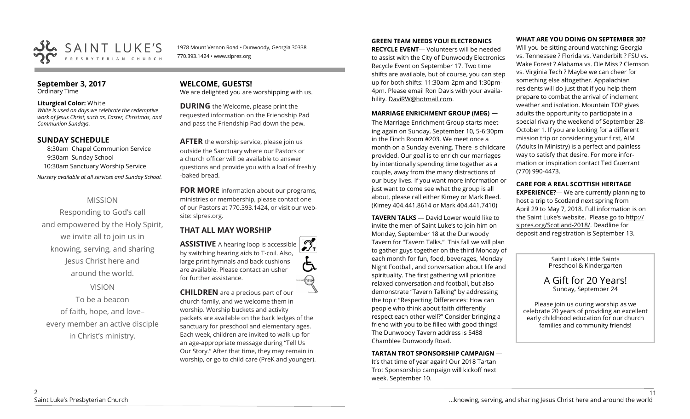

1978 Mount Vernon Road • Dunwoody, Georgia 30338 770.393.1424 • www.slpres.org

#### **September 3, 2017**  Ordinary Time

#### **Liturgical Color:** White

*White is used on days we celebrate the redemptive work of Jesus Christ, such as, Easter, Christmas, and Communion Sundays.* 

### **SUNDAY SCHEDULE**

8:30am Chapel Communion Service 9:30am Sunday School 10:30am Sanctuary Worship Service *Nursery available at all services and Sunday School.* 

## MISSION

Responding to God's call and empowered by the Holy Spirit, we invite all to join us in knowing, serving, and sharing Jesus Christ here and around the world.

# VISION

To be a beacon of faith, hope, and love– every member an active disciple in Christ's ministry.

**WELCOME, GUESTS!**  We are delighted you are worshipping with us.

**DURING** the Welcome, please print the requested information on the Friendship Pad and pass the Friendship Pad down the pew.

**AFTER** the worship service, please join us outside the Sanctuary where our Pastors or a church officer will be available to answer questions and provide you with a loaf of freshly -baked bread.

**FOR MORE** information about our programs, ministries or membership, please contact one of our Pastors at 770.393.1424, or visit our website: slpres.org.

# **THAT ALL MAY WORSHIP**

 $\mathcal{D}_{\mathbf{r}}$ **ASSISTIVE** A hearing loop is accessible by switching hearing aids to T-coil. Also, large print hymnals and back cushions are available. Please contact an usher for further assistance.

thistext

**CHILDREN** are a precious part of our church family, and we welcome them in worship. Worship buckets and activity packets are available on the back ledges of the sanctuary for preschool and elementary ages. Each week, children are invited to walk up for an age-appropriate message during "Tell Us Our Story." After that time, they may remain in worship, or go to child care (PreK and younger).

#### **GREEN TEAM NEEDS YOU! ELECTRONICS**

**RECYCLE EVENT**— Volunteers will be needed to assist with the City of Dunwoody Electronics Recycle Event on September 17. Two time shifts are available, but of course, you can step up for both shifts: 11:30am-2pm and 1:30pm-4pm. Please email Ron Davis with your availability. DaviRW@hotmail.com.

#### **MARRIAGE ENRICHMENT GROUP (MEG)** —

The Marriage Enrichment Group starts meeting again on Sunday, September 10, 5-6:30pm in the Finch Room #203. We meet once a month on a Sunday evening. There is childcare provided. Our goal is to enrich our marriages by intentionally spending time together as a couple, away from the many distractions of our busy lives. If you want more information or just want to come see what the group is all about, please call either Kimey or Mark Reed. (Kimey 404.441.8614 or Mark 404.441.7410)

**TAVERN TALKS** — David Lower would like to invite the men of Saint Luke's to join him on Monday, September 18 at the Dunwoody Tavern for "Tavern Talks." This fall we will plan to gather guys together on the third Monday of each month for fun, food, beverages, Monday Night Football, and conversation about life and spirituality. The first gathering will prioritize relaxed conversation and football, but also demonstrate "Tavern Talking" by addressing the topic "Respecting Differences: How can people who think about faith differently respect each other well?" Consider bringing a friend with you to be filled with good things! The Dunwoody Tavern address is 5488 Chamblee Dunwoody Road.

# **TARTAN TROT SPONSORSHIP CAMPAIGN** —

It's that time of year again! Our 2018 Tartan Trot Sponsorship campaign will kickoff next week, September 10.

#### **WHAT ARE YOU DOING ON SEPTEMBER 30?**

Will you be sitting around watching: Georgia vs. Tennessee ? Florida vs. Vanderbilt ? FSU vs. Wake Forest ? Alabama vs. Ole Miss ? Clemson vs. Virginia Tech ? Maybe we can cheer for something else altogether. Appalachian residents will do just that if you help them prepare to combat the arrival of inclement weather and isolation. Mountain TOP gives adults the opportunity to participate in a special rivalry the weekend of September 28- October 1. If you are looking for a different mission trip or considering your first, AIM (Adults In Ministry) is a perfect and painless way to satisfy that desire. For more information or inspiration contact Ted Guerrant (770) 990-4473.

### **CARE FOR A REAL SCOTTISH HERITAGE**

**EXPERIENCE?**— We are currently planning to host a trip to Scotland next spring from April 29 to May 7, 2018. Full information is on the Saint Luke's website. Please go to http:// slpres.org/Scotland-2018/. Deadline for deposit and registration is September 13.

> Saint Luke's Little Saints Preschool & Kindergarten

A Gift for 20 Years! Sunday, September 24

Please join us during worship as we celebrate 20 years of providing an excellent early childhood education for our church families and community friends!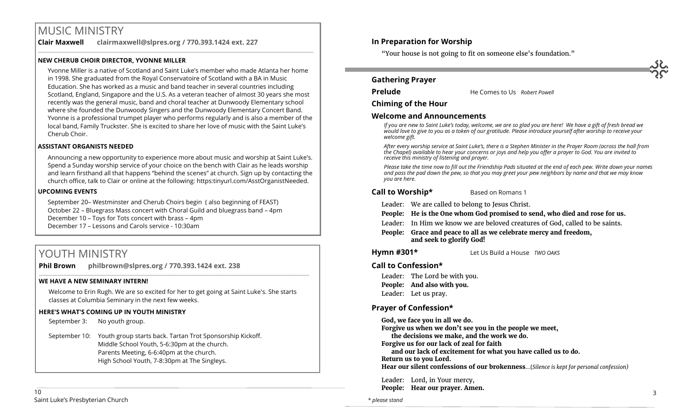# MUSIC MINISTRY

**Clair Maxwell clairmaxwell@slpres.org / 770.393.1424 ext. 227**  \_\_\_\_\_\_\_\_\_\_\_\_\_\_\_\_\_\_\_\_\_\_\_\_\_\_\_\_\_\_\_\_\_\_\_\_\_\_\_\_\_\_\_\_\_\_\_\_\_\_\_\_\_\_\_\_\_\_\_\_\_\_\_\_\_\_\_\_\_\_\_\_\_\_\_\_\_\_\_\_\_\_\_\_\_\_\_\_\_\_\_\_\_\_\_\_\_\_\_\_

### **NEW CHERUB CHOIR DIRECTOR, YVONNE MILLER**

Yvonne Miller is a native of Scotland and Saint Luke's member who made Atlanta her home in 1998. She graduated from the Royal Conservatoire of Scotland with a BA in Music Education. She has worked as a music and band teacher in several countries including Scotland, England, Singapore and the U.S. As a veteran teacher of almost 30 years she most recently was the general music, band and choral teacher at Dunwoody Elementary school where she founded the Dunwoody Singers and the Dunwoody Elementary Concert Band. Yvonne is a professional trumpet player who performs regularly and is also a member of the local band, Family Truckster. She is excited to share her love of music with the Saint Luke's Cherub Choir.

#### **ASSISTANT ORGANISTS NEEDED**

Announcing a new opportunity to experience more about music and worship at Saint Luke's. Spend a Sunday worship service of your choice on the bench with Clair as he leads worship and learn firsthand all that happens "behind the scenes" at church. Sign up by contacting the church office, talk to Clair or online at the following: https:tinyurl.com/AsstOrganistNeeded.

#### **UPCOMING EVENTS**

September 20– Westminster and Cherub Choirs begin ( also beginning of FEAST) October 22 – Bluegrass Mass concert with Choral Guild and bluegrass band – 4pm December 10 – Toys for Tots concert with brass – 4pm December 17 – Lessons and Carols service - 10:30am

# YOUTH MINISTRY

**Phil Brown philbrown@slpres.org / 770.393.1424 ext. 238** 

#### **WE HAVE A NEW SEMINARY INTERN!**

Welcome to Erin Rugh. We are so excited for her to get going at Saint Luke's. She starts classes at Columbia Seminary in the next few weeks.

 $\_$  ,  $\_$  ,  $\_$  ,  $\_$  ,  $\_$  ,  $\_$  ,  $\_$  ,  $\_$  ,  $\_$  ,  $\_$  ,  $\_$  ,  $\_$  ,  $\_$  ,  $\_$  ,  $\_$  ,  $\_$  ,  $\_$  ,  $\_$  ,  $\_$  ,  $\_$  ,  $\_$  ,  $\_$  ,  $\_$  ,  $\_$  ,  $\_$  ,  $\_$  ,  $\_$  ,  $\_$  ,  $\_$  ,  $\_$  ,  $\_$  ,  $\_$  ,  $\_$  ,  $\_$  ,  $\_$  ,  $\_$  ,  $\_$  ,

#### **HERE'S WHAT'S COMING UP IN YOUTH MINISTRY**

September 3: No youth group.

September 10: Youth group starts back. Tartan Trot Sponsorship Kickoff. Middle School Youth, 5-6:30pm at the church. Parents Meeting, 6-6:40pm at the church. High School Youth, 7-8:30pm at The Singleys.

"Your house is not going to fit on someone else's foundation."

#### **Gathering Prayer**

**Prelude** He Comes to Us *Robert Powell* 

**Chiming of the Hour**

### **Welcome and Announcements**

*If you are new to Saint Luke's today, welcome, we are so glad you are here! We have a gift of fresh bread we would love to give to you as a token of our gratitude. Please introduce yourself after worship to receive your welcome gift.*

*After every worship service at Saint Luke's, there is a Stephen Minister in the Prayer Room (across the hall from the Chapel) available to hear your concerns or joys and help you offer a prayer to God. You are invited to receive this ministry of listening and prayer.*

*Please take the time now to fill out the Friendship Pads situated at the end of each pew. Write down your names and pass the pad down the pew, so that you may greet your pew neighbors by name and that we may know you are here.*

#### **Call to Worship\*** Based on Romans 1

Leader: We are called to belong to Jesus Christ.

- **People: He is the One whom God promised to send, who died and rose for us.**
- Leader: In Him we know we are beloved creatures of God, called to be saints.
- **People: Grace and peace to all as we celebrate mercy and freedom, and seek to glorify God!**

**Hymn #301\*** Let Us Build a House *TWO OAKS*

## **Call to Confession\***

Leader: The Lord be with you. **People: And also with you.** Leader: Let us pray.

## **Prayer of Confession\***

**God, we face you in all we do. Forgive us when we don't see you in the people we meet, the decisions we make, and the work we do. Forgive us for our lack of zeal for faith and our lack of excitement for what you have called us to do. Return us to you Lord. Hear our silent confessions of our brokenness**...(*Silence is kept for personal confession)* 

Leader: Lord, in Your mercy, **People: Hear our prayer. Amen.**

*\* please stand*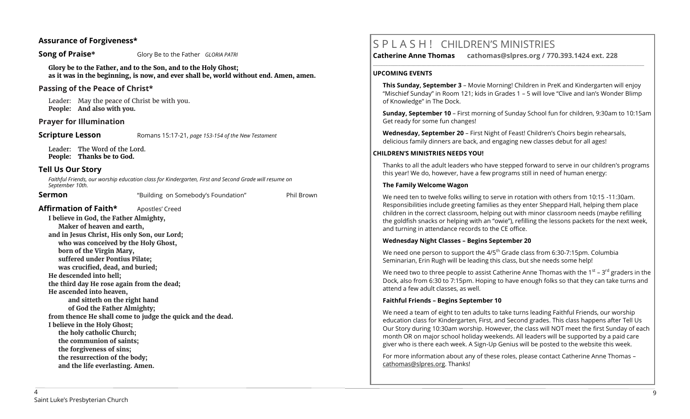## **Assurance of Forgiveness\***

#### **Song of Praise\*** Glory Be to the Father *GLORIA PATRI*

**Glory be to the Father, and to the Son, and to the Holy Ghost; as it was in the beginning, is now, and ever shall be, world without end. Amen, amen.**

# **Passing of the Peace of Christ\***

Leader: May the peace of Christ be with you. **People: And also with you.**

# **Prayer for Illumination**

**Scripture Lesson** Romans 15:17-21, *page 153-154 of the New Testament* 

Leader: The Word of the Lord. **People: Thanks be to God.**

### **Tell Us Our Story**

*Faithful Friends, our worship education class for Kindergarten, First and Second Grade will resume on September 10th.*

| Sermon                                                     | "Building on Somebody's Foundation" | Phil Brown |  |  |  |  |  |
|------------------------------------------------------------|-------------------------------------|------------|--|--|--|--|--|
| Affirmation of Faith*                                      | Apostles' Creed                     |            |  |  |  |  |  |
| I believe in God, the Father Almighty,                     |                                     |            |  |  |  |  |  |
| Maker of heaven and earth,                                 |                                     |            |  |  |  |  |  |
| and in Jesus Christ, His only Son, our Lord;               |                                     |            |  |  |  |  |  |
| who was conceived by the Holy Ghost,                       |                                     |            |  |  |  |  |  |
| born of the Virgin Mary,                                   |                                     |            |  |  |  |  |  |
| suffered under Pontius Pilate;                             |                                     |            |  |  |  |  |  |
| was crucified, dead, and buried;                           |                                     |            |  |  |  |  |  |
| He descended into hell;                                    |                                     |            |  |  |  |  |  |
| the third day He rose again from the dead;                 |                                     |            |  |  |  |  |  |
| He ascended into heaven,                                   |                                     |            |  |  |  |  |  |
| and sitteth on the right hand                              |                                     |            |  |  |  |  |  |
| of God the Father Almighty;                                |                                     |            |  |  |  |  |  |
| from thence He shall come to judge the quick and the dead. |                                     |            |  |  |  |  |  |
| I believe in the Holy Ghost;                               |                                     |            |  |  |  |  |  |
| the holy catholic Church;                                  |                                     |            |  |  |  |  |  |
| the communion of saints;                                   |                                     |            |  |  |  |  |  |
| the forgiveness of sins;                                   |                                     |            |  |  |  |  |  |
| the resurrection of the body;                              |                                     |            |  |  |  |  |  |
| and the life everlasting. Amen.                            |                                     |            |  |  |  |  |  |
|                                                            |                                     |            |  |  |  |  |  |

# S P L A S H ! CHILDREN'S MINISTRIES

**Catherine Anne Thomas cathomas@slpres.org / 770.393.1424 ext. 228** 

**\_\_\_\_\_\_\_\_\_\_\_\_\_\_\_\_\_\_\_\_\_\_\_\_\_\_\_\_\_\_\_\_\_\_\_\_\_\_\_\_\_\_\_\_\_\_\_\_\_\_\_\_\_\_\_\_\_\_\_\_\_\_\_\_\_\_\_\_\_\_\_\_\_\_\_\_\_\_\_\_\_\_\_\_\_\_\_\_\_\_\_\_\_\_\_\_\_\_\_\_\_\_\_\_\_\_\_** 

#### **UPCOMING EVENTS**

**This Sunday, September 3** – Movie Morning! Children in PreK and Kindergarten will enjoy "Mischief Sunday" in Room 121; kids in Grades 1 – 5 will love "Clive and Ian's Wonder Blimp of Knowledge" in The Dock.

**Sunday, September 10** – First morning of Sunday School fun for children, 9:30am to 10:15am Get ready for some fun changes!

**Wednesday, September 20** – First Night of Feast! Children's Choirs begin rehearsals, delicious family dinners are back, and engaging new classes debut for all ages!

#### **CHILDREN'S MINISTRIES NEEDS YOU!**

Thanks to all the adult leaders who have stepped forward to serve in our children's programs this year! We do, however, have a few programs still in need of human energy:

#### **The Family Welcome Wagon**

We need ten to twelve folks willing to serve in rotation with others from 10:15 -11:30am. Responsibilities include greeting families as they enter Sheppard Hall, helping them place children in the correct classroom, helping out with minor classroom needs (maybe refilling the goldfish snacks or helping with an "owie"), refilling the lessons packets for the next week, and turning in attendance records to the CE office.

#### **Wednesday Night Classes – Begins September 20**

We need one person to support the 4/5<sup>th</sup> Grade class from 6:30-7:15pm. Columbia Seminarian, Erin Rugh will be leading this class, but she needs some help!

We need two to three people to assist Catherine Anne Thomas with the 1 $^{\rm st}$  – 3 $^{\rm rd}$  graders in the Dock, also from 6:30 to 7:15pm. Hoping to have enough folks so that they can take turns and attend a few adult classes, as well.

#### **Faithful Friends – Begins September 10**

We need a team of eight to ten adults to take turns leading Faithful Friends, our worship education class for Kindergarten, First, and Second grades. This class happens after Tell Us Our Story during 10:30am worship. However, the class will NOT meet the first Sunday of each month OR on major school holiday weekends. All leaders will be supported by a paid care giver who is there each week. A Sign-Up Genius will be posted to the website this week.

For more information about any of these roles, please contact Catherine Anne Thomas – [cathomas@slpres.org.](mailto:cathomas@slpres.org) Thanks!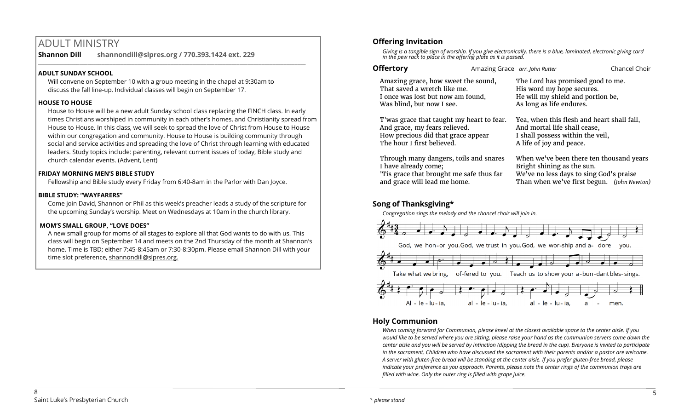# ADULT MINISTRY

**Shannon Dill shannondill@slpres.org / 770.393.1424 ext. 229** 

# **ADULT SUNDAY SCHOOL**

Will convene on September 10 with a group meeting in the chapel at 9:30am to discuss the fall line-up. Individual classes will begin on September 17.

 $\_$  ,  $\_$  ,  $\_$  ,  $\_$  ,  $\_$  ,  $\_$  ,  $\_$  ,  $\_$  ,  $\_$  ,  $\_$  ,  $\_$  ,  $\_$  ,  $\_$  ,  $\_$  ,  $\_$  ,  $\_$  ,  $\_$  ,  $\_$  ,  $\_$ 

# **HOUSE TO HOUSE**

House to House will be a new adult Sunday school class replacing the FINCH class. In early times Christians worshiped in community in each other's homes, and Christianity spread from House to House. In this class, we will seek to spread the love of Christ from House to House within our congregation and community. House to House is building community through social and service activities and spreading the love of Christ through learning with educated leaders. Study topics include: parenting, relevant current issues of today, Bible study and church calendar events. (Advent, Lent)

# **FRIDAY MORNING MEN'S BIBLE STUDY**

Fellowship and Bible study every Friday from 6:40-8am in the Parlor with Dan Joyce.

# **BIBLE STUDY: "WAYFARERS"**

Come join David, Shannon or Phil as this week's preacher leads a study of the scripture for the upcoming Sunday's worship. Meet on Wednesdays at 10am in the church library.

# **MOM'S SMALL GROUP, "LOVE DOES"**

A new small group for moms of all stages to explore all that God wants to do with us. This class will begin on September 14 and meets on the 2nd Thursday of the month at Shannon's home. Time is TBD; either 7:45-8:45am or 7:30-8:30pm. Please email Shannon Dill with your time slot preference, shannondill@slpres.org.

# **Offering Invitation**

*Giving is a tangible sign of worship. If you give electronically, there is a blue, laminated, electronic giving card in the pew rack to place in the offering plate as it is passed.*

| <b>Offertory</b>                                                                                                                               | Amazing Grace arr. John Rutter |                                                                                                                                                                 | Chancel Choir |
|------------------------------------------------------------------------------------------------------------------------------------------------|--------------------------------|-----------------------------------------------------------------------------------------------------------------------------------------------------------------|---------------|
| Amazing grace, how sweet the sound,<br>That saved a wretch like me.<br>I once was lost but now am found,<br>Was blind, but now I see.          |                                | The Lord has promised good to me.<br>His word my hope secures.<br>He will my shield and portion be,<br>As long as life endures.                                 |               |
| T'was grace that taught my heart to fear.<br>And grace, my fears relieved.<br>How precious did that grace appear<br>The hour I first believed. |                                | Yea, when this flesh and heart shall fail,<br>And mortal life shall cease,<br>I shall possess within the veil,<br>A life of joy and peace.                      |               |
| Through many dangers, toils and snares<br>I have already come;<br>'Tis grace that brought me safe thus far<br>and grace will lead me home.     |                                | When we've been there ten thousand years<br>Bright shining as the sun.<br>We've no less days to sing God's praise<br>Than when we've first begun. (John Newton) |               |

# **Song of Thanksgiving\***



# **Holy Communion**

*When coming forward for Communion, please kneel at the closest available space to the center aisle. If you would like to be served where you are sitting, please raise your hand as the communion servers come down the center aisle and you will be served by intinction (dipping the bread in the cup). Everyone is invited to participate in the sacrament. Children who have discussed the sacrament with their parents and/or a pastor are welcome. A server with gluten-free bread will be standing at the center aisle. If you prefer gluten-free bread, please indicate your preference as you approach. Parents, please note the center rings of the communion trays are filled with wine. Only the outer ring is filled with grape juice.*